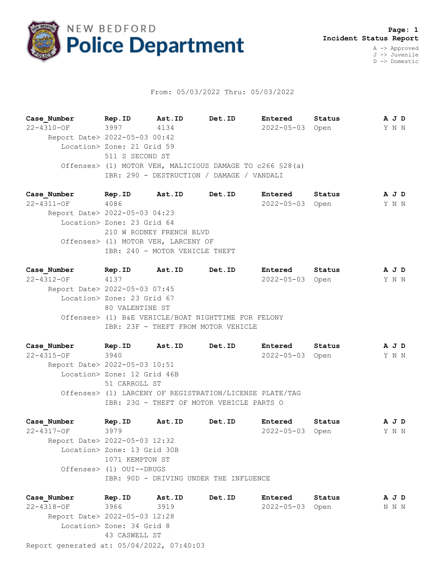

## From: 05/03/2022 Thru: 05/03/2022

**Case\_Number Rep.ID Ast.ID Det.ID Entered Status A J D** 22-4310-OF 3997 4134 2022-05-03 Open Y N N Report Date> 2022-05-03 00:42 Location> Zone: 21 Grid 59 511 S SECOND ST Offenses> (1) MOTOR VEH, MALICIOUS DAMAGE TO c266 §28(a) IBR: 290 - DESTRUCTION / DAMAGE / VANDALI

**Case\_Number Rep.ID Ast.ID Det.ID Entered Status A J D** 22-4311-OF 4086 2022-05-03 Open Y N N Report Date> 2022-05-03 04:23 Location> Zone: 23 Grid 64 210 W RODNEY FRENCH BLVD Offenses> (1) MOTOR VEH, LARCENY OF IBR: 240 - MOTOR VEHICLE THEFT

**Case\_Number Rep.ID Ast.ID Det.ID Entered Status A J D** 22-4312-OF 4137 2022-05-03 Open Y N N Report Date> 2022-05-03 07:45 Location> Zone: 23 Grid 67 80 VALENTINE ST Offenses> (1) B&E VEHICLE/BOAT NIGHTTIME FOR FELONY IBR: 23F - THEFT FROM MOTOR VEHICLE

**Case\_Number Rep.ID Ast.ID Det.ID Entered Status A J D** 22-4315-OF 3940 2022-05-03 Open Y N N Report Date> 2022-05-03 10:51 Location> Zone: 12 Grid 46B 51 CARROLL ST Offenses> (1) LARCENY OF REGISTRATION/LICENSE PLATE/TAG IBR: 23G - THEFT OF MOTOR VEHICLE PARTS O

**Case\_Number Rep.ID Ast.ID Det.ID Entered Status A J D** 22-4317-OF 3979 2022-05-03 Open Y N N Report Date> 2022-05-03 12:32 Location> Zone: 13 Grid 30B 1071 KEMPTON ST Offenses> (1) OUI--DRUGS IBR: 90D - DRIVING UNDER THE INFLUENCE

Report generated at: 05/04/2022, 07:40:03 **Case\_Number Rep.ID Ast.ID Det.ID Entered Status A J D** 22-4318-OF 3966 3919 2022-05-03 Open N N N Report Date> 2022-05-03 12:28 Location> Zone: 34 Grid 8 43 CASWELL ST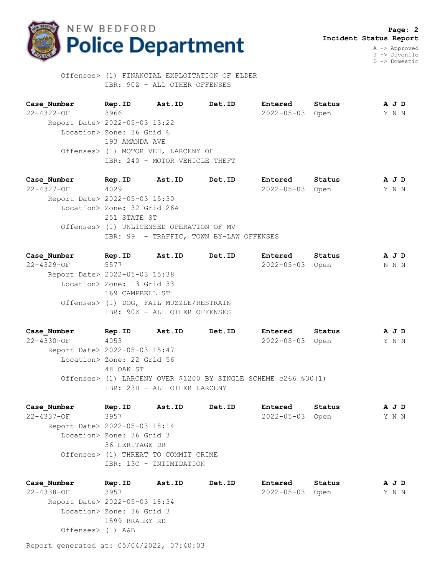

J -> Juvenile D -> Domestic

 Offenses> (1) FINANCIAL EXPLOITATION OF ELDER IBR: 90Z - ALL OTHER OFFENSES

**Case\_Number Rep.ID Ast.ID Det.ID Entered Status A J D** 22-4322-OF 3966 2022-05-03 Open Y N N Report Date> 2022-05-03 13:22 Location> Zone: 36 Grid 6 193 AMANDA AVE Offenses> (1) MOTOR VEH, LARCENY OF IBR: 240 - MOTOR VEHICLE THEFT

**Case\_Number Rep.ID Ast.ID Det.ID Entered Status A J D** 22-4327-OF 4029 2022-05-03 Open Y N N Report Date> 2022-05-03 15:30 Location> Zone: 32 Grid 26A 251 STATE ST Offenses> (1) UNLICENSED OPERATION OF MV IBR: 99 - TRAFFIC, TOWN BY-LAW OFFENSES

**Case\_Number Rep.ID Ast.ID Det.ID Entered Status A J D** 22-4329-OF 5577 2022-05-03 Open N N N Report Date> 2022-05-03 15:38 Location> Zone: 13 Grid 33 169 CAMPBELL ST Offenses> (1) DOG, FAIL MUZZLE/RESTRAIN IBR: 90Z - ALL OTHER OFFENSES

**Case\_Number Rep.ID Ast.ID Det.ID Entered Status A J D** 22-4330-OF 4053 2022-05-03 Open Y N N Report Date> 2022-05-03 15:47 Location> Zone: 22 Grid 56 48 OAK ST Offenses> (1) LARCENY OVER \$1200 BY SINGLE SCHEME c266 §30(1) IBR: 23H - ALL OTHER LARCENY

**Case\_Number Rep.ID Ast.ID Det.ID Entered Status A J D** 22-4337-OF 3957 2022-05-03 Open Y N N Report Date> 2022-05-03 18:14 Location> Zone: 36 Grid 3 36 HERITAGE DR Offenses> (1) THREAT TO COMMIT CRIME IBR: 13C - INTIMIDATION

**Case\_Number Rep.ID Ast.ID Det.ID Entered Status A J D** 22-4338-OF 3957 2022-05-03 Open Y N N Report Date> 2022-05-03 18:34 Location> Zone: 36 Grid 3 1599 BRALEY RD Offenses> (1) A&B

Report generated at: 05/04/2022, 07:40:03